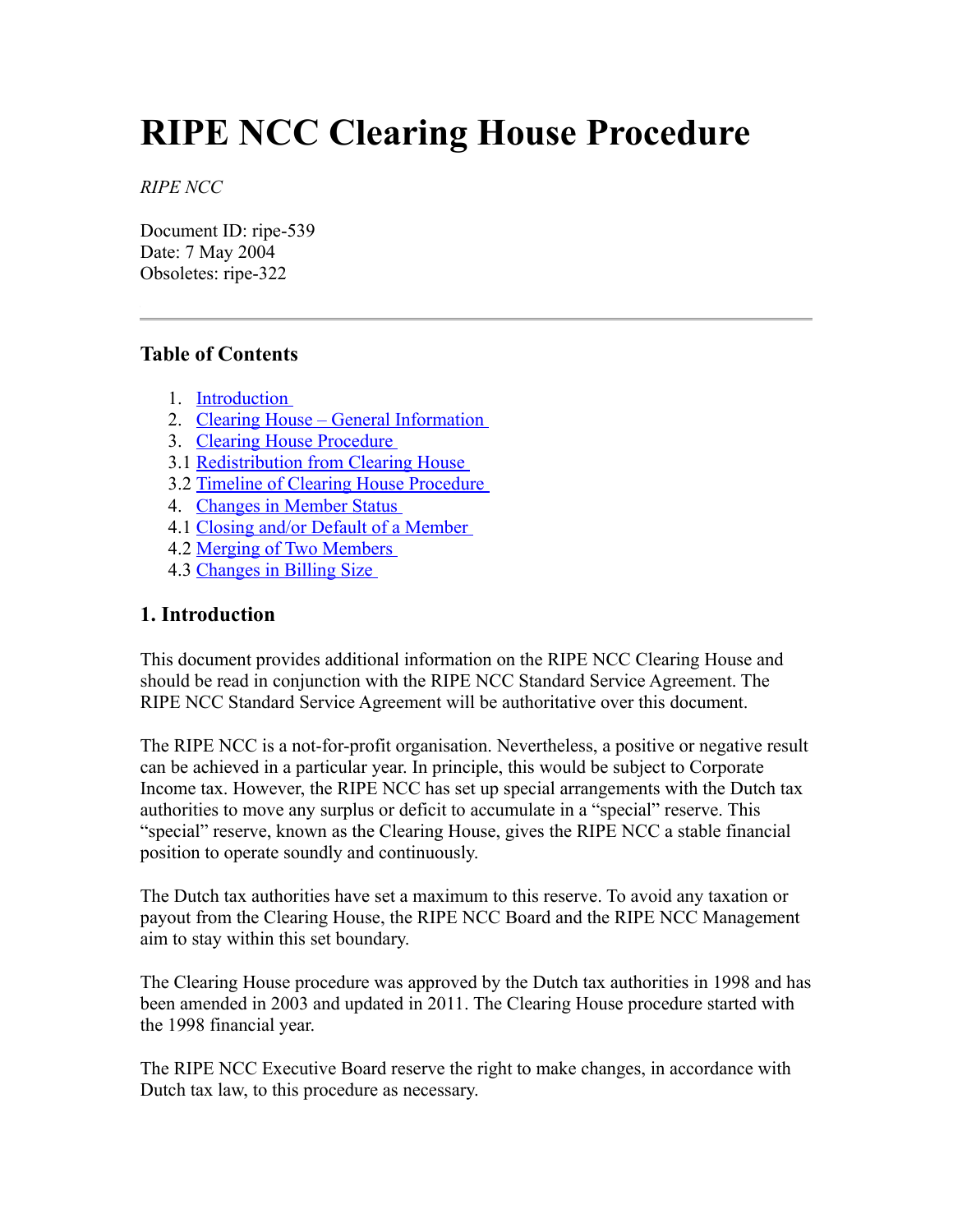# **RIPE NCC Clearing House Procedure**

*RIPE NCC*

Document ID: ripe-539 Date: 7 May 2004 Obsoletes: ripe-322

# **Table of Contents**

- 1. [Introduction](#page-0-0)
- 2. [Clearing House General Information](#page-1-3)
- 3. [Clearing House Procedure](#page-1-2)
- 3.1 [Redistribution from Clearing House](#page-1-1)
- 3.2 [Timeline of Clearing House Procedure](#page-1-0)
- 4. [Changes in Member Status](#page-2-3)
- 4.1 [Closing and/or Default of a Member](#page-2-2)
- 4.2 [Merging of Two Members](#page-2-1)
- 4.3 [Changes in Billing Size](#page-2-0)

#### <span id="page-0-0"></span>**1. Introduction**

This document provides additional information on the RIPE NCC Clearing House and should be read in conjunction with the RIPE NCC Standard Service Agreement. The RIPE NCC Standard Service Agreement will be authoritative over this document.

The RIPE NCC is a not-for-profit organisation. Nevertheless, a positive or negative result can be achieved in a particular year. In principle, this would be subject to Corporate Income tax. However, the RIPE NCC has set up special arrangements with the Dutch tax authorities to move any surplus or deficit to accumulate in a "special" reserve. This "special" reserve, known as the Clearing House, gives the RIPE NCC a stable financial position to operate soundly and continuously.

The Dutch tax authorities have set a maximum to this reserve. To avoid any taxation or payout from the Clearing House, the RIPE NCC Board and the RIPE NCC Management aim to stay within this set boundary.

The Clearing House procedure was approved by the Dutch tax authorities in 1998 and has been amended in 2003 and updated in 2011. The Clearing House procedure started with the 1998 financial year.

The RIPE NCC Executive Board reserve the right to make changes, in accordance with Dutch tax law, to this procedure as necessary.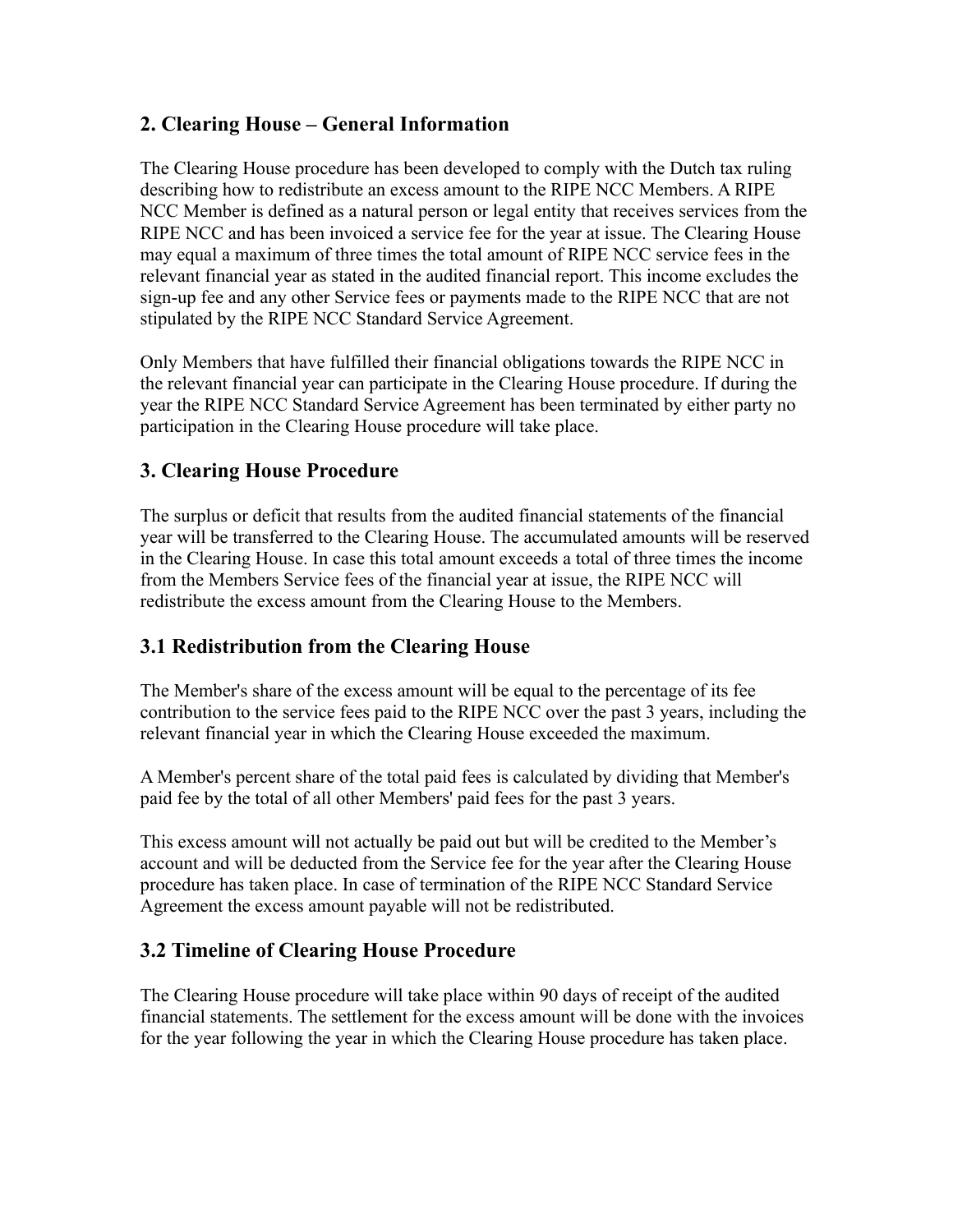# <span id="page-1-3"></span>**2. Clearing House – General Information**

The Clearing House procedure has been developed to comply with the Dutch tax ruling describing how to redistribute an excess amount to the RIPE NCC Members. A RIPE NCC Member is defined as a natural person or legal entity that receives services from the RIPE NCC and has been invoiced a service fee for the year at issue. The Clearing House may equal a maximum of three times the total amount of RIPE NCC service fees in the relevant financial year as stated in the audited financial report. This income excludes the sign-up fee and any other Service fees or payments made to the RIPE NCC that are not stipulated by the RIPE NCC Standard Service Agreement.

Only Members that have fulfilled their financial obligations towards the RIPE NCC in the relevant financial year can participate in the Clearing House procedure. If during the year the RIPE NCC Standard Service Agreement has been terminated by either party no participation in the Clearing House procedure will take place.

# <span id="page-1-2"></span>**3. Clearing House Procedure**

The surplus or deficit that results from the audited financial statements of the financial year will be transferred to the Clearing House. The accumulated amounts will be reserved in the Clearing House. In case this total amount exceeds a total of three times the income from the Members Service fees of the financial year at issue, the RIPE NCC will redistribute the excess amount from the Clearing House to the Members.

# <span id="page-1-1"></span>**3.1 Redistribution from the Clearing House**

The Member's share of the excess amount will be equal to the percentage of its fee contribution to the service fees paid to the RIPE NCC over the past 3 years, including the relevant financial year in which the Clearing House exceeded the maximum.

A Member's percent share of the total paid fees is calculated by dividing that Member's paid fee by the total of all other Members' paid fees for the past 3 years.

This excess amount will not actually be paid out but will be credited to the Member's account and will be deducted from the Service fee for the year after the Clearing House procedure has taken place. In case of termination of the RIPE NCC Standard Service Agreement the excess amount payable will not be redistributed.

#### <span id="page-1-0"></span>**3.2 Timeline of Clearing House Procedure**

The Clearing House procedure will take place within 90 days of receipt of the audited financial statements. The settlement for the excess amount will be done with the invoices for the year following the year in which the Clearing House procedure has taken place.